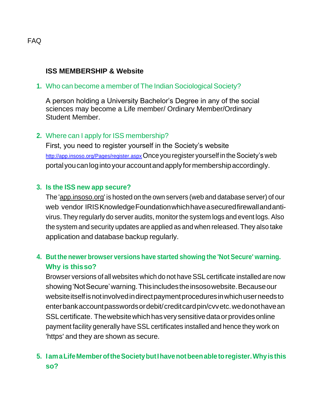## **ISS MEMBERSHIP & Website**

**1.** Who can become a member of The Indian Sociological Society?

A person holding a University Bachelor's Degree in any of the social sciences may become a Life member/ Ordinary Member/Ordinary Student Member.

## **2.** Where can I apply for ISS membership?

First, you need to register yourself in the Society's website <http://app.insoso.org/Pages/register.aspx> Once you register yourself in the Society's web portalyoucanlogintoyouraccountandapplyformembershipaccordingly.

#### **3. Is the ISS new app secure?**

The ['app.insoso.org'](http://app.insoso.org/) is hosted on the own servers (web and database server) of our web vendor IRISKnowledgeFoundationwhichhaveasecuredfirewallandantivirus. They regularly do server audits, monitor the system logs and event logs. Also the system and security updates are applied as and when released. They also take application and database backup regularly.

## **4. But the newer browser versions have started showing the 'Not Secure' warning. Why is thisso?**

Browser versions of all websites which do not have SSL certificate installed are now showing'NotSecure'warning.Thisincludestheinsosowebsite.Becauseour website itself is not involved in direct payment procedures in which user needs to enterbankaccountpasswordsordebit/creditcardpin/cvvetc.wedonothavean SSLcertificate. Thewebsitewhichhasverysensitivedataorprovidesonline payment facility generally have SSL certificates installed and hence they work on 'https' and they are shown as secure.

## **5. IamaLifeMemberoftheSocietybutIhavenotbeenabletoregister.Whyisthis so?**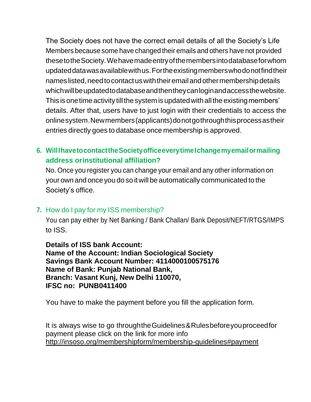The Society does not have the correct email details of all the Society's Life Members because some have changed their emails and others have not provided thesetotheSociety.Wehavemadeentryofthemembersintodatabaseforwhom updateddatawasavailablewithus.Fortheexistingmemberswhodonotfindtheir names listed, need to contact us with their email and other membership details whichwillbeupdatedtodatabaseandthentheycanloginandaccessthewebsite. This is one time activity till the system is updated with all the existing members' details. After that, users have to just login with their credentials to access the onlinesystem.Newmembers(applicants)donotgothroughthisprocessastheir entries directly goes to database once membership is approved.

## **6. WillIhavetocontacttheSocietyofficeeverytimeIchangemyemailormailing address orinstitutional affiliation?**

No. Once you register you can change your email and any other information on your own and once you do so itwill be automatically communicated to the Society's office.

## **7.** How do I pay for my ISS membership?

You can pay either by Net Banking / Bank Challan/ Bank Deposit/NEFT/RTGS/IMPS to ISS.

**Details of ISS bank Account: Name of the Account: Indian Sociological Society Savings Bank Account Number: 4114000100575176 Name of Bank: Punjab National Bank, Branch: Vasant Kunj, New Delhi 110070, IFSC no: PUNB0411400**

You have to make the payment before you fill the application form.

It is always wise to go throughtheGuidelines&Rulesbeforeyouproceedfor payment please click on the link for more info <http://insoso.org/membershipform/membership-guidelines#payment>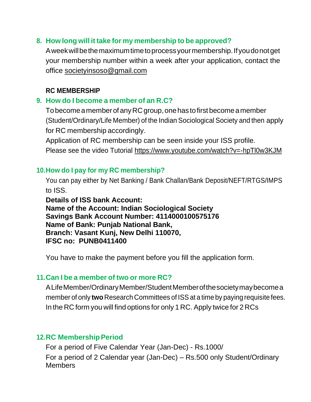#### **8. How long will it take for my membership to be approved?**

Aweekwillbethemaximumtimetoprocessyourmembership.Ifyoudonotget your membership number within a week after your application, contact the office [societyinsoso@gmail.com](mailto:societyinsoso@gmail.com)

#### **RC MEMBERSHIP**

## **9. How do I become a member of an R.C?**

To become a member of any RC group, one has to first become a member (Student/Ordinary/Life Member) of the Indian Sociological Society and then apply for RC membership accordingly.

Application of RC membership can be seen inside your ISS profile. Please see the video Tutorial<https://www.youtube.com/watch?v=-hpTl0w3KJM>

## **10.How do I pay for my RC membership?**

You can pay either by Net Banking / Bank Challan/Bank Deposit/NEFT/RTGS/IMPS to ISS.

**Details of ISS bank Account: Name of the Account: Indian Sociological Society Savings Bank Account Number: 4114000100575176 Name of Bank: Punjab National Bank, Branch: Vasant Kunj, New Delhi 110070, IFSC no: PUNB0411400**

You have to make the payment before you fill the application form.

## **11.Can I be a member of two or more RC?**

ALifeMember/OrdinaryMember/StudentMemberofthesocietymaybecomea member of only **two** Research Committees of ISSat a time by paying requisite fees. In the RC form you will find options for only 1 RC. Apply twice for 2 RCs

## **12.RC Membership Period**

For a period of Five Calendar Year (Jan-Dec) - Rs.1000/ For a period of 2 Calendar year (Jan-Dec) – Rs.500 only Student/Ordinary **Members**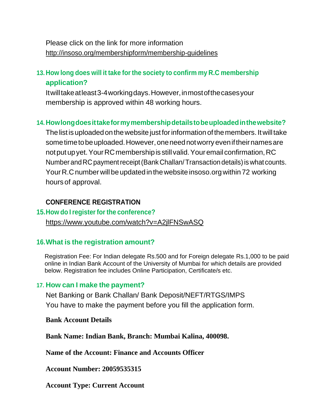## Please click on the link for more information <http://insoso.org/membershipform/membership-guidelines>

## **13.How long does will it take for the society to confirm my R.C membership application?**

Itwilltakeatleast3-4workingdays.However,inmostofthecasesyour membership is approved within 48 working hours.

## **14.Howlongdoesittakeformymembershipdetailstobeuploadedinthewebsite?**

The list is uploaded on the website just for information of the members. It will take some time to be uploaded. However, one need not worry even if their names are not put up yet. Your RC membership is still valid. Your email confirmation, RC Number and RC payment receipt (Bank Challan/Transaction details) is what counts. Your R.C number will be updated in the website insoso.org within 72 working hours of approval.

#### **CONFERENCE REGISTRATION**

#### **15.How do Iregisterfor the conference?**

<https://www.youtube.com/watch?v=A2jlFNSwASQ>

#### **16.What is the registration amount?**

Registration Fee: For Indian delegate Rs.500 and for Foreign delegate Rs.1,000 to be paid online in Indian Bank Account of the University of Mumbai for which details are provided below. Registration fee includes Online Participation, Certificate/s etc.

#### **17. How can I make the payment?**

Net Banking or Bank Challan/ Bank Deposit/NEFT/RTGS/IMPS You have to make the payment before you fill the application form.

#### **Bank Account Details**

**Bank Name: Indian Bank, Branch: Mumbai Kalina, 400098.**

**Name of the Account: Finance and Accounts Officer**

**Account Number: 20059535315**

**Account Type: Current Account**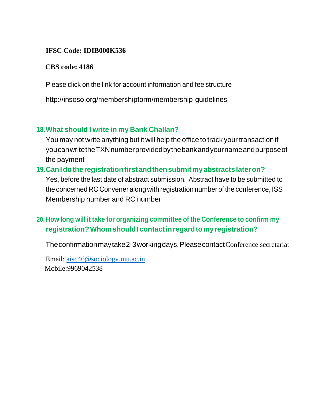## **IFSC Code: IDIB000K536**

## **CBS code: 4186**

Please click on the link for account information and fee structure

<http://insoso.org/membershipform/membership-guidelines>

## **18.What should I write in my Bank Challan?**

You may not write anything but it will help the office to track your transaction if youcanwritetheTXNnumberprovidedbythebankandyournameandpurposeof the payment

# **19.CanIdotheregistrationfirst andthensubmitmyabstractslateron?**

Yes, before the last date of abstract submission. Abstract have to be submitted to the concerned RC Convener along with registration number of the conference, ISS Membership number and RC number

# **20.How long will it take for organizing committee of the Conference to confirm my registration?WhomshouldIcontactinregardtomyregistration?**

Theconfirmationmaytake2-3workingdays.PleasecontactConference secretariat

Email: [aisc46@sociology.mu.ac.in](mailto:aisc46@sociology.mu.ac.in) Mobile:9969042538